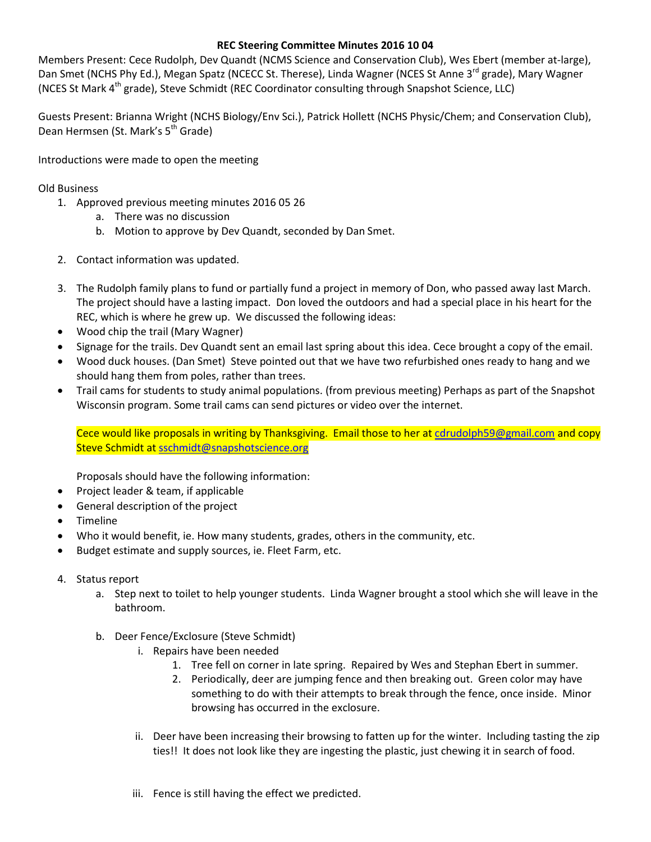## **REC Steering Committee Minutes 2016 10 04**

Members Present: Cece Rudolph, Dev Quandt (NCMS Science and Conservation Club), Wes Ebert (member at-large), Dan Smet (NCHS Phy Ed.), Megan Spatz (NCECC St. Therese), Linda Wagner (NCES St Anne 3<sup>rd</sup> grade), Mary Wagner (NCES St Mark 4<sup>th</sup> grade), Steve Schmidt (REC Coordinator consulting through Snapshot Science, LLC)

Guests Present: Brianna Wright (NCHS Biology/Env Sci.), Patrick Hollett (NCHS Physic/Chem; and Conservation Club), Dean Hermsen (St. Mark's 5<sup>th</sup> Grade)

Introductions were made to open the meeting

Old Business

- 1. Approved previous meeting minutes 2016 05 26
	- a. There was no discussion
	- b. Motion to approve by Dev Quandt, seconded by Dan Smet.
- 2. Contact information was updated.
- 3. The Rudolph family plans to fund or partially fund a project in memory of Don, who passed away last March. The project should have a lasting impact. Don loved the outdoors and had a special place in his heart for the REC, which is where he grew up. We discussed the following ideas:
- Wood chip the trail (Mary Wagner)
- Signage for the trails. Dev Quandt sent an email last spring about this idea. Cece brought a copy of the email.
- Wood duck houses. (Dan Smet) Steve pointed out that we have two refurbished ones ready to hang and we should hang them from poles, rather than trees.
- Trail cams for students to study animal populations. (from previous meeting) Perhaps as part of the Snapshot Wisconsin program. Some trail cams can send pictures or video over the internet.

Cece would like proposals in writing by Thanksgiving. Email those to her at [cdrudolph59@gmail.com](mailto:cdrudolph59@gmail.com) and copy Steve Schmidt a[t sschmidt@snapshotscience.org](mailto:sschmidt@snapshotscience.org)

Proposals should have the following information:

- Project leader & team, if applicable
- General description of the project
- Timeline
- Who it would benefit, ie. How many students, grades, others in the community, etc.
- Budget estimate and supply sources, ie. Fleet Farm, etc.
- 4. Status report
	- a. Step next to toilet to help younger students. Linda Wagner brought a stool which she will leave in the bathroom.
	- b. Deer Fence/Exclosure (Steve Schmidt)
		- i. Repairs have been needed
			- 1. Tree fell on corner in late spring. Repaired by Wes and Stephan Ebert in summer.
			- 2. Periodically, deer are jumping fence and then breaking out. Green color may have something to do with their attempts to break through the fence, once inside. Minor browsing has occurred in the exclosure.
		- ii. Deer have been increasing their browsing to fatten up for the winter. Including tasting the zip ties!! It does not look like they are ingesting the plastic, just chewing it in search of food.
		- iii. Fence is still having the effect we predicted.